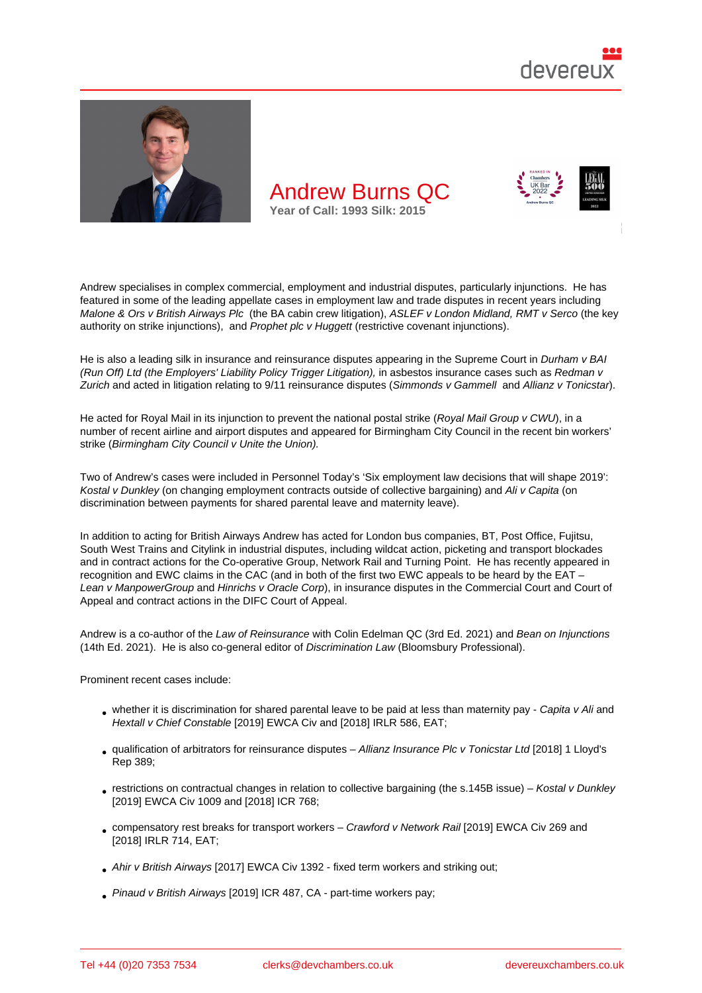

Andrew specialises in complex commercial, employment and industrial disputes, particularly injunctions. He has featured in some of the leading appellate cases in employment law and trade disputes in recent years including Malone & Ors v British Airways Plc (the BA cabin crew litigation), ASLEF v London Midland, RMT v Serco (the key authority on strike injunctions), and Prophet plc v Huggett (restrictive covenant injunctions).

He is also a leading silk in insurance and reinsurance disputes appearing in the Supreme Court in Durham v BAI [\(Run Off\) Ltd \(the Employers' Liabil](http://bit.ly/2TC2B6o)ity Policy Trigger Litigation), in [asbestos insurance cases such as Redm](http://bit.ly/2IC6t0I)an v Zurich and acted in litigation relatin[g to 9/11 reinsurance d](http://bit.ly/2TVX6y7)isputes (Simmonds v Gammell and Allianz v Tonicstar).

He acted for Royal Mail in its injunction to prevent the national postal strike (Royal Mail Group v C[WU\), in a](http://bit.ly/3cK8gyI)  [number of recent airline and airport disputes and appeared for](http://bit.ly/3cK8gyI) Birmingham City Council in the recent [bin workers](http://bit.ly/2TDw0gx)' [strike \(](http://bit.ly/2TDw0gx)Birmingham City Council v Unite the Union).

Two of Andrew's cases were included in Personnel Today's 'Six employme[nt law decisions that will sh](http://bit.ly/3cOtOtW)ape 2019': Kostal v Dunkley (on changing employment contracts outside of collective bargaining) and Ali v Capita (on discri[mination between payments for shared paren](http://bit.ly/3aOwUwx)tal leave and maternity leave).

In addition to acting for British Airways Andrew has acted fo[r London bus companies, BT, Post Office, Fujitsu,](http://bit.ly/2Q0Y62W)  [South West Train](http://bit.ly/2vSeLPi)s and Citylink in industrial disputes, including wildcat action, picketing an[d transport b](http://bit.ly/38EpMBp)lockades and in contract actions for the Co-operative Group, Network Rail and Turning Point. He has recently appeared in recognition and EWC claims in the CAC (and in both of the first two EWC appeals to be heard by the EAT – Lean v ManpowerGroup and Hinrichs v Oracle Corp), in insurance disputes in the Commercial Court and Court of Appeal and contract actions in the DIFC Court of Appeal.

Andrew is a co-author of the Law of Reinsurance with Colin Edelman QC (3rd Ed. 2021) and Bean on Injunctions [\(14th Ed. 2021\). He is a](http://bit.ly/3aE7xx2)lso co-general editor of Discrimination Law (Bloomsbury Professional).

Prominent recent cases include:

- whether it is discrimination for shared parental leave to be paid at less than maternity pay Capita v Ali and Hextall v Chief Constable [2019] EWCA Civ and [2018] IRLR 586, EAT;
- qualification of arbitrators for reinsurance disputes Allianz Insurance Plc v Tonicstar Ltd [2018] 1 Lloyd's Rep 389;
- [restrictions on contractual changes in relatio](http://bit.ly/38EpMBp)n to [collective bargain](http://bit.ly/2Q2nCVC)ing (the s.145B issue) Kostal v Dunkley [2019] EWCA Civ 1009 and [2018] ICR 768;
- [compens](http://bit.ly/2wGXvN8)atory rest breaks for transport workers Crawford v Network Rail [2019] EWCA Civ 269 and [2018] IRLR 714, EAT;
- Ahir v British Airways [2017] EWCA Civ 1392 fixed term workers and striking out;
- [Pinaud v British A](http://bit.ly/2vTLu70)irways [2019] ICR 487, CA par[t-time workers pay;](http://bit.ly/3cOWovh)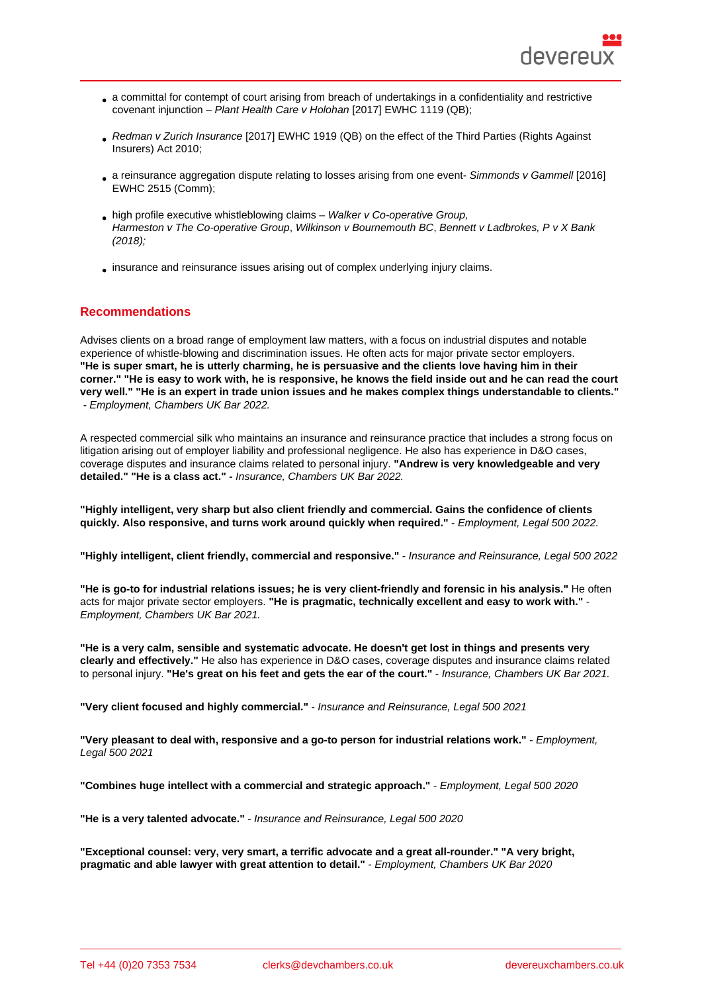- a committal for contempt of court arising from breach of undertakings in a confidentiality and restrictive covenant injunction – Plant Health Care v Holohan [2017] EWHC 1119 (QB);
- Redman v Zurich Insurance [2017] EWHC 1919 (QB) on the effect of the Third Parties (Rights Against Insurers) Act 2010;
- a reinsurance aggregation dispute relating to losses arising from one event- Simmonds v Gammell [2016] [EWHC 2515 \(Comm\);](http://bit.ly/2TDw0gx)
- high profile executive whistleblowing claims Walker v Co-operative Group, Harmeston v The Co-operative Group, Wilkinson v Bournemouth BC, Benn[ett v Ladbrokes, P v X B](http://www.devereuxchambers.co.uk/resources/news/view/9-11-reinsurance-aggregation-when-do-losses-arise-from-one-event)ank [\(2018\);](http://www.devereuxchambers.co.uk/resources/news/view/9-11-reinsurance-aggregation-when-do-losses-arise-from-one-event)
- insurance and reinsurance issues arising out [of complex underlying injury cl](https://www.theguardian.com/business/2018/nov/16/former-co-op-exec-wins-her-equal-pay-and-unfair-dismissal-claims)aims.

### Recommendations

Advises clients on a broad range of employment law matters, with a focus on industrial disputes and notable experience of whistle-blowing and discrimination issues. He often acts for major private sector employers. "He is super smart, he is utterly charming, he is persuasive and the clients love having him in their corner." "He is easy to work with, he is responsive, he knows the field inside out and he can read the court very well." "He is an expert in trade union issues and he makes complex things understandable to clients." - Employment, Chambers UK Bar 2022.

A respected commercial silk who maintains an insurance and reinsurance practice that includes a strong focus on litigation arising out of employer liability and professional negligence. He also has experience in D&O cases, coverage disputes and insurance claims related to personal injury. "Andrew is very knowledgeable and very detailed." "He is a class act." - Insurance, Chambers UK Bar 2022.

"Highly intelligent, very sharp but also client friendly and commercial. Gains the confidence of clients quickly. Also responsive, and turns work around quickly when required." - Employment, Legal 500 2022.

"Highly intelligent, client friendly, commercial and responsive." - Insurance and Reinsurance, Legal 500 2022

"He is go-to for industrial relations issues; he is very client-friendly and forensic in his analysis." He often acts for major private sector employers. "He is pragmatic, technically excellent and easy to work with." Employment, Chambers UK Bar 2021.

"He is a very calm, sensible and systematic advocate. He doesn't get lost in things and presents very clearly and effectively." He also has experience in D&O cases, coverage disputes and insurance claims related to personal injury. "He's great on his feet and gets the ear of the court." - Insurance, Chambers UK Bar 2021.

"Very client focused and highly commercial." - Insurance and Reinsurance, Legal 500 2021

"Very pleasant to deal with, responsive and a go-to person for industrial relations work." - Employment, Legal 500 2021

"Combines huge intellect with a commercial and strategic approach." - Employment, Legal 500 2020

"He is a very talented advocate." - Insurance and Reinsurance, Legal 500 2020

"Exceptional counsel: very, very smart, a terrific advocate and a great all-rounder." "A very bright, pragmatic and able lawyer with great attention to detail." - Employment, Chambers UK Bar 2020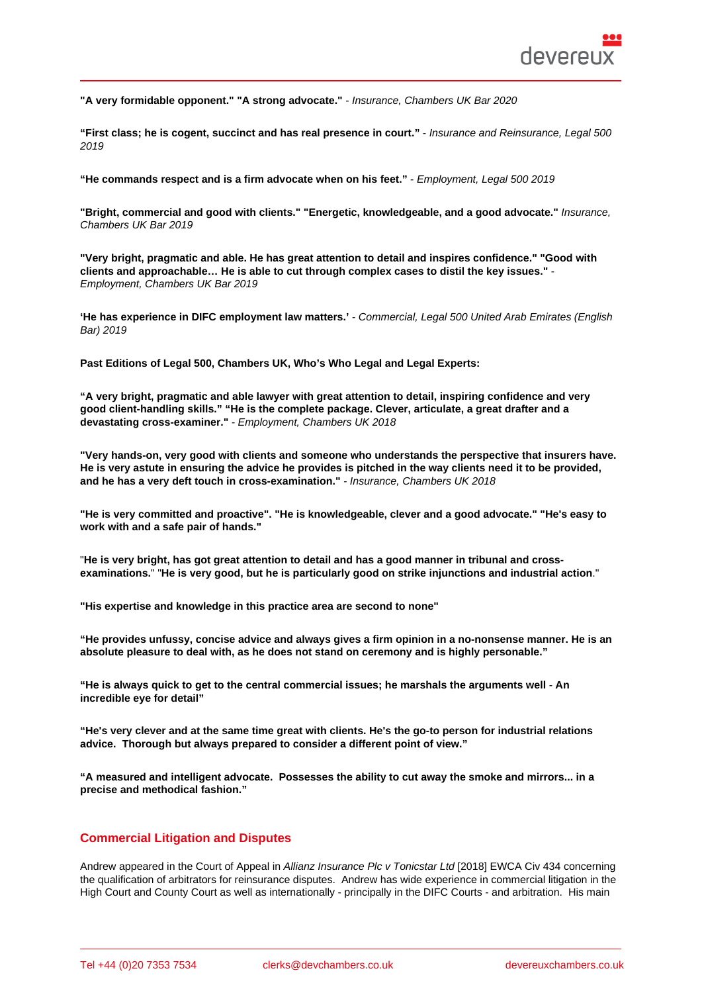"A very formidable opponent." "A strong advocate." - Insurance, Chambers UK Bar 2020

"First class; he is cogent, succinct and has real presence in court." - Insurance and Reinsurance, Legal 500 2019

"He commands respect and is a firm advocate when on his feet." - Employment, Legal 500 2019

"Bright, commercial and good with clients." "Energetic, knowledgeable, and a good advocate." Insurance, Chambers UK Bar 2019

"Very bright, pragmatic and able. He has great attention to detail and inspires confidence." "Good with clients and approachable... He is able to cut through complex cases to distil the key issues." Employment, Chambers UK Bar 2019

'He has experience in DIFC employment law matters.' - Commercial, Legal 500 United Arab Emirates (English Bar) 2019

Past Editions of Legal 500, Chambers UK, Who's Who Legal and Legal Experts:

"A very bright, pragmatic and able lawyer with great attention to detail, inspiring confidence and very good client-handling skills." "He is the complete package. Clever, articulate, a great drafter and a devastating cross-examiner." - Employment, Chambers UK 2018

"Very hands-on, very good with clients and someone who understands the perspective that insurers have. He is very astute in ensuring the advice he provides is pitched in the way clients need it to be provided, and he has a very deft touch in cross-examination." - Insurance, Chambers UK 2018

"He is very committed and proactive". "He is knowledgeable, clever and a good advocate." "He's easy to work with and a safe pair of hands."

"He is very bright, has got great attention to detail and has a good manner in tribunal and crossexaminations. " "He is very good, but he is particularly good on strike injunctions and industrial action

"His expertise and knowledge in this practice area are second to none"

"He provides unfussy, concise advice and always gives a firm opinion in a no-nonsense manner. He is an absolute pleasure to deal with, as he does not stand on ceremony and is highly personable."

"He is always quick to get to the central commercial issues; he marshals the arguments well - An incredible eye for detail"

"He's very clever and at the same time great with clients. He's the go-to person for industrial relations advice. Thorough but always prepared to consider a different point of view."

"A measured and intelligent advocate. Possesses the ability to cut away the smoke and mirrors... in a precise and methodical fashion."

### Commercial Litigation and Disputes

Andrew appeared in the Court of Appeal in Allianz Insurance Plc v Tonicstar Ltd [2018] EWCA Civ 434 concerning the qualification of arbitrators for reinsurance disputes. Andrew has wide experience in commercial litigation in the High Court and County Court as well as internationally - principally in the DIFC Courts - and arbitration. His main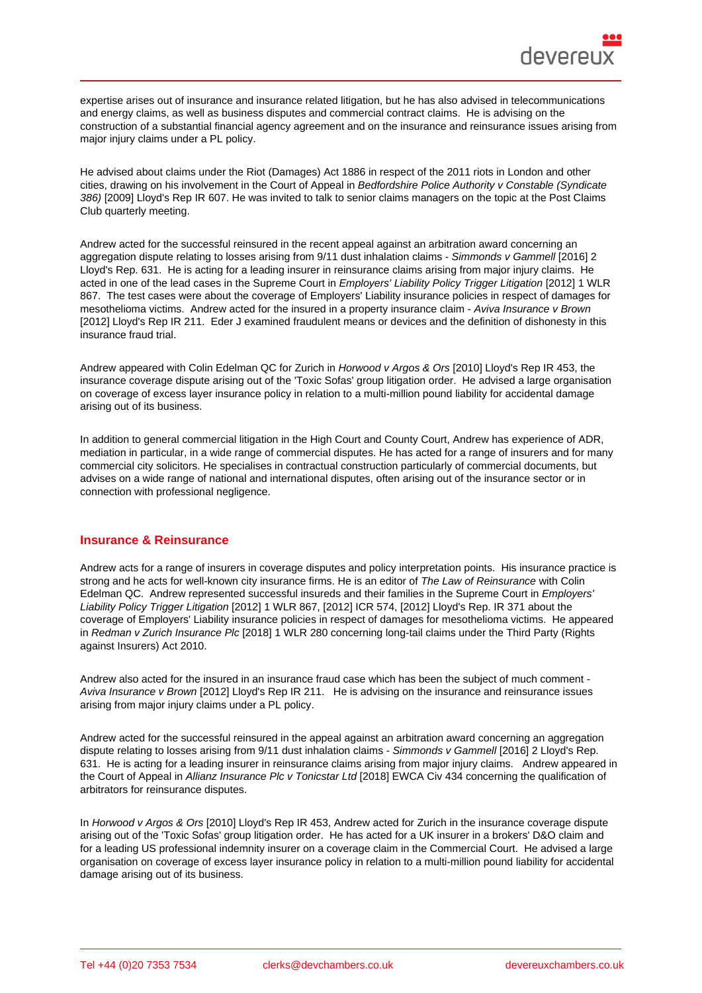expertise arises out of insurance and insurance related litigation, but he has also advised in telecommunications and energy claims, as well as business disputes and commercial contract claims. He is advising on the construction of a substantial financial agency agreement and on the insurance and reinsurance issues arising from major injury claims under a PL policy.

He advised about claims under the Riot (Damages) Act 1886 in respect of the 2011 riots in London and other cities, drawing on his involvement in the Court of Appeal in Bedfordshire Police Authority v Constable (Syndicate 386) [2009] Lloyd's Rep IR 607. He was invited to talk to senior claims managers on the topic at the Post Claims Club quarterly meeting.

Andrew acted for the successful reinsured in the recent appeal against an arbitration award concerning an aggregation dispute relating to losses arising from 9/11 dust inhalation claims - Simmonds v Gammell [2016] 2 Lloyd's Rep. 631. He is acting for a leading insurer in reinsurance claims arising from major injury claims. He acted in one of the lead cases in the Supreme Court in Employers' Liability Policy Trigger Litigation [2012] 1 WLR 867. The test cases were about the coverage of Employers' Liability insurance policies in respect of damages for mesothelioma victims. Andrew acted for the insured in a property insurance cl[aim - Aviva Insurance v](http://www.devereuxchambers.co.uk/resources/news/view/9-11-reinsurance-aggregation-when-do-losses-arise-from-one-event) Brown [2012] Lloyd's Rep IR 211. Eder J examined fraudulent means or devices and the definition of dishonesty in this insurance fraud trial.

Andrew appeared with Colin Edelman QC for Zurich in Horwood v Argos & Ors [2010] Lloyd's Rep IR 453, the insurance coverage dispute arising out of the 'Toxic Sofas' group litigation order. He advised a large organisation on coverage of excess layer insurance policy in relation to a multi-million pound liability for accidental damage arising out of its business.

In addition to general commercial litigation in the High Court and County Court, Andrew has experience of ADR, mediation in particular, in a wide range of commercial disputes. He has acted for a range of insurers and for many commercial city solicitors. He specialises in contractual construction particularly of commercial documents, but advises on a wide range of national and international disputes, often arising out of the insurance sector or in connection with professional negligence.

### Insurance & Reinsurance

Andrew acts for a range of insurers in coverage disputes and policy interpretation points. His insurance practice is strong and he acts for well-known city insurance firms. He is an editor of The Law of Reinsurance with Colin Edelman QC. Andrew represented successful insureds and their families in the Supreme Court in Employers' Liability Policy Trigger Litigation [2012] 1 WLR 867, [2012] ICR 574, [2012] Lloyd's Rep. IR 371 about the coverage of Employers' Liability insurance policies in respect of damages for mesothelioma victims. He appeared in Redman v Zurich Insurance Plc [2018] 1 WLR 280 concerning long-tail claims under the Third Party (Rights against Insurers) Act 2010.

Andrew also acted for the insured in an insurance fraud case which has been the subject of much comment - A[viva Insurance v Brown \[2012\] Llo](http://bit.ly/2TDw0gx)yd's Rep IR 211. He is advising on the insurance and reinsurance issues arising from major injury claims under a PL policy.

Andrew acted for the successful reinsured in the appeal against an arbitration award concerning an aggregation dispute relating to losses arising from 9/11 dust inhalation claims - Simmonds v Gammell [2016] 2 Lloyd's Rep. 631. He is acting for a leading insurer in reinsurance claims arising from major injury claims. Andrew appeared in the Court of Appeal in Allianz Insurance Plc v Tonicstar Ltd [2018] EWCA Civ 434 concerning the qualification of arbitrators for reinsurance disputes.

In Horwood v Argos & Ors [2010] Lloyd's Rep IR 453, Andrew acted for Zurich in the insurance coverage dispute arising out of the 'Toxic Sofas' group litigation order. He has acted for a UK insurer in a brokers' D&O claim and for a leading US professional indemnity insurer on a coverage claim in the Commercial Court. He advised a large organisation on coverage of excess layer insurance policy in relation to a multi-million pound liability for accidental damage arising out of its business.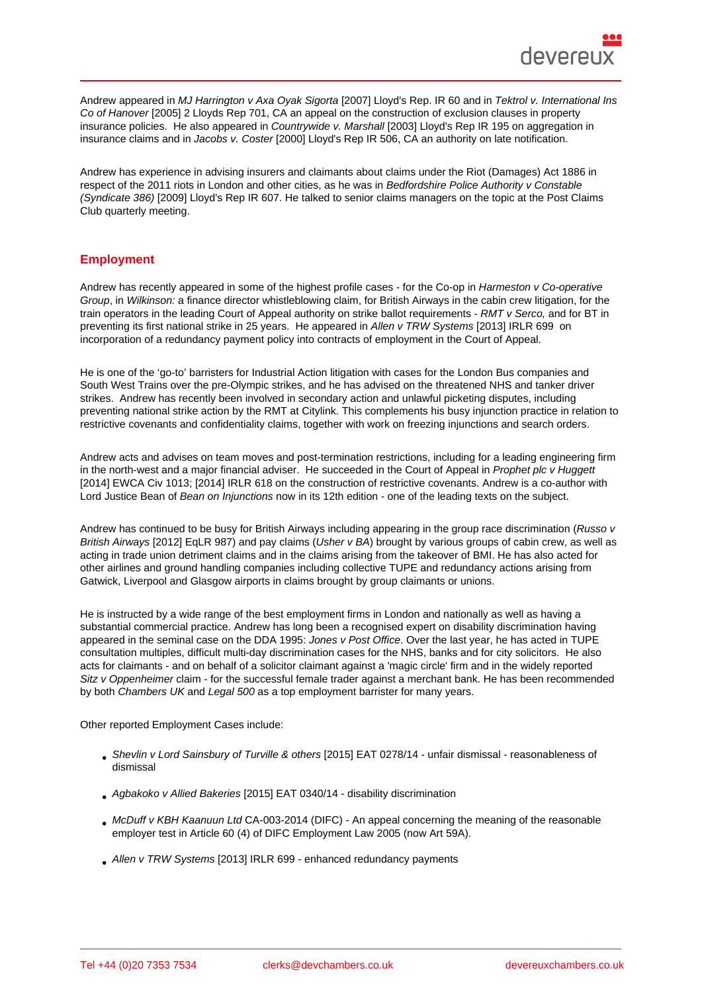Andrew appeared in MJ Harrington v Axa Oyak Sigorta [2007] Lloyd's Rep. IR 60 and in Tektrol v. International Ins Co of Hanover [2005] 2 Lloyds Rep 701, CA an appeal on the construction of exclusion clauses in property insurance policies. He also appeared in Countrywide v. Marshall [2003] Lloyd's Rep IR 195 on aggregation in insurance claims and in Jacobs v. Coster [2000] Lloyd's Rep IR 506, CA an authority on late notification.

Andrew has experience in advising insurers and claimants about claims under the Riot (Damages) Act 1886 in respect of the 2011 riots in London and other cities, as he was in Bedfordshire Police Authority v Constable (Syndicate 386) [2009] Lloyd's Rep IR 607. He talked to senior claims managers on the topic at the Post Claims Club quarterly meeting.

# **Employment**

Andrew has recently appeared in some of the highest profile cases - for the Co-op in Harmeston v Co-operative Group, in Wilkinson: a finance director whistleblowing claim, for British Airways in the cabin crew litigation, for the train operators in the leading Court of Appeal authority on strike ballot requirements - RMT v Serco, and for BT in preventing its first national strike in 25 years. He appeared in Allen v TRW Systems [2013] IRLR 699 on incorporation of a redundancy payment policy into contracts of employment in the Court of Appeal.

He is one of the 'go-to' barristers for Industrial Action litigation with cases for the London Bus companies and South West Trains over the pre-Olympic strikes, and he has advised on the threatened NHS and tanker driver strikes. Andrew has recently been involved in secondary action and unlawful picketing disputes, including preventing national strike action by the RMT at Citylink. This complements his busy injunction practice in relation to restrictive covenants and confidentiality claims, together with work on freezing injunctions and search orders.

Andrew acts and advises on team moves and post-termination restrictions, including for a leading engineering firm in the north-west and a major financial adviser. He succeeded in the Court of Appeal in Prophet plc v Huggett [2014] EWCA Civ 1013; [2014] IRLR 618 on the construction of restrictive covenants. Andrew is a co-author with Lord Justice Bean of Bean on Injunctions now in its 12th edition - one of the leading texts on the subject.

Andrew has continued to be busy for British Airways including appearing in the group race discrimination (Russo v British Airways [2012] EqLR 987) and pay claims (Usher v BA) brought by various groups of cabin crew, as well as acting in trade union detriment claims and in the claims arising from the takeover of BMI. He has also acted for other airlines and ground handling companies including collective TUPE and redundancy actions arising from Gatwick, Liverpool and Glasgow airports in claims brought by group claimants or unions.

He is instructed by a wide range of the best employment firms in London and nationally as well as having a substantial commercial practice. Andrew has long been a recognised expert on disability discrimination having appeared in the seminal case on the DDA 1995: Jones v Post Office. Over the last year, he has acted in TUPE consultation multiples, difficult multi-day discrimination cases for the NHS, banks and for city solicitors. He also acts for claimants - and on behalf of a solicitor claimant against a 'magic circle' firm and in the widely reported Sitz v Oppenheimer claim - for the successful female trader against a merchant bank. He has been recommended by both Chambers UK and Legal 500 as a top employment barrister for many years.

Other reported Employment Cases include:

- Shevlin v Lord Sainsbury of Turville & others [2015] EAT 0278/14 unfair dismissal reasonableness of dismissal
- Agbakoko v Allied Bakeries [2015] EAT 0340/14 disability discrimination
- [McDuff v KBH Kaanuun Ltd CA-003-2014 \(D](http://bit.ly/3aFqjnZ)IFC) An appeal concerning the meaning of the reasonable employer test in Article 60 (4) of DIFC Employment Law 2005 (now Art 59A).
- [Allen v TRW Systems \[2013](http://bit.ly/3cLHYfo)] IRLR 699 enhanced redundancy payments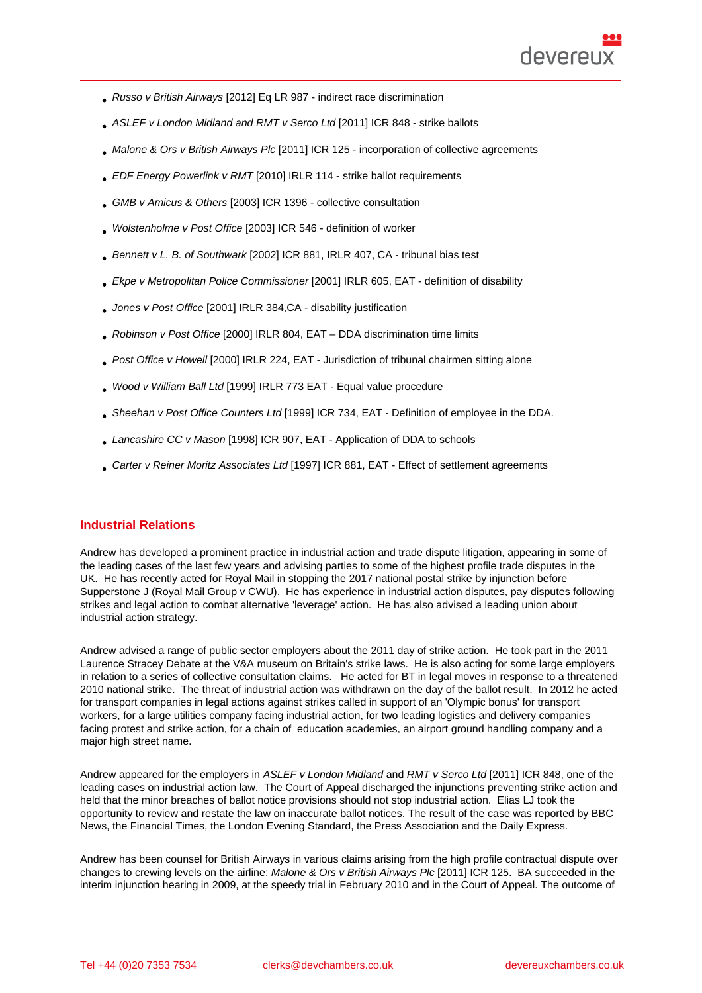- Russo v British Airways [2012] Eq LR 987 indirect race discrimination
- ASLEF v London Midland and RMT v Serco Ltd [2011] ICR 848 strike ballots
- Malone & Ors v British Airways Plc [2011] ICR 125 incorporation of collective agreements
- [EDF Energy Powerlink v RMT](http://bit.ly/336cJqX) [2010] IRLR 114 strike ballot requirements
- [GMB v Amicus & Others \[2003\] ICR](http://bit.ly/2TC2B6o) 1396 collective consultation
- [Wolstenholme v Post Office \[2](http://bit.ly/2Q1hQDN)003] ICR 546 definition of worker
- [Bennett v L. B. of Southw](http://bit.ly/2Q0VjXq)ark [2002] ICR 881, IRLR 407, CA tribunal bias test
- [Ekpe v Metropolitan Police C](http://bit.ly/2vTT3dS)ommissioner [2001] IRLR 605, EAT definition of disability
- [Jones v Post Office \[2001\] IR](http://bit.ly/2xiNoyf)LR 384,CA disability justification
- [Robinson v Post Office \[2000\] IRLR 804, E](http://bit.ly/38EAVSL)AT DDA discrimination time limits
- [Post Office v Howel](http://bit.ly/39QaevP)l [2000] IRLR 224, EAT Jurisdiction of tribunal chairmen sitting alone
- [Wood v William Ball Ltd](http://bit.ly/38zeqOU) [1999] IRLR 773 EAT Equal value procedure
- [Sheehan v Post Offic](http://bit.ly/3aCFAps)e Counters Ltd [1999] ICR 734, EAT Definition of employee in the DDA.
- [Lancashire CC v Mason](http://bit.ly/2ICdleM) [1998] ICR 907, EAT Application of DDA to schools
- [Carter v Reiner Moritz Associates Lt](http://bit.ly/2TRPRYi)d [1997] ICR 881, EAT Effect of settlement agreements

#### Indus[trial Relations](http://bit.ly/3cIf3ZX)

Andrew has developed a prominent practice in industrial action and trade dispute litigation, appearing in some of the leading cases of the last few years and advising parties to some of the highest profile trade disputes in the UK. He has recently acted for Royal Mail in stopping the 2017 national postal strike by injunction before Supperstone J (Royal Mail Group v CWU). He has experience in industrial action disputes, pay disputes following strikes and legal action to combat alternative 'leverage' action. He has also advised a leading union about industrial action strategy.

Andrew advise[d a range of public sector e](http://bit.ly/3cOtOtW)mployers about the 2011 day of strike action. He took part in the 2011 Laurence Stracey Debate at the V&A museum on Britain's strike laws. He is also acting for some large employers in relation to a series of collective consultation claims. He acted for BT in legal moves in response to a threatened 2010 national strike. The threat of industrial action was withdrawn on the day of the ballot result. In 2012 he acted for transport companies in legal actions against strikes called in support of an 'Olympic bonus' for transport workers, for a large utilities company facing industrial action, for two leading logistics and delivery companies facing protest and strike action, for a chain of education academies, an airport ground handling company and a major high street name.

Andrew appeared for the employers in ASLEF v London Midland and RMT v Serco Ltd [2011] ICR 848, one of the leading cases on industrial action law. The Court of Appeal discharged the injunctions preventing strike action and held that the minor breaches of ballot notice provisions should not stop industrial action. Elias LJ took the opportunity to review and restate the law on inaccurate ballot notices. The result of the case was reported by BBC News, the Financial Times, the London Evening Standard, the Press Association and the Daily Express.

Andrew has been counsel for British Airways in various claims arising from the high profile contractual dispute over changes to crewing levels on the airline: Malone & Ors v British Airways Plc [2011] ICR 125. BA succeeded in the interim injunction hearing in 2009, at the speedy trial in February 2010 and in the Court of Appeal. The outcome of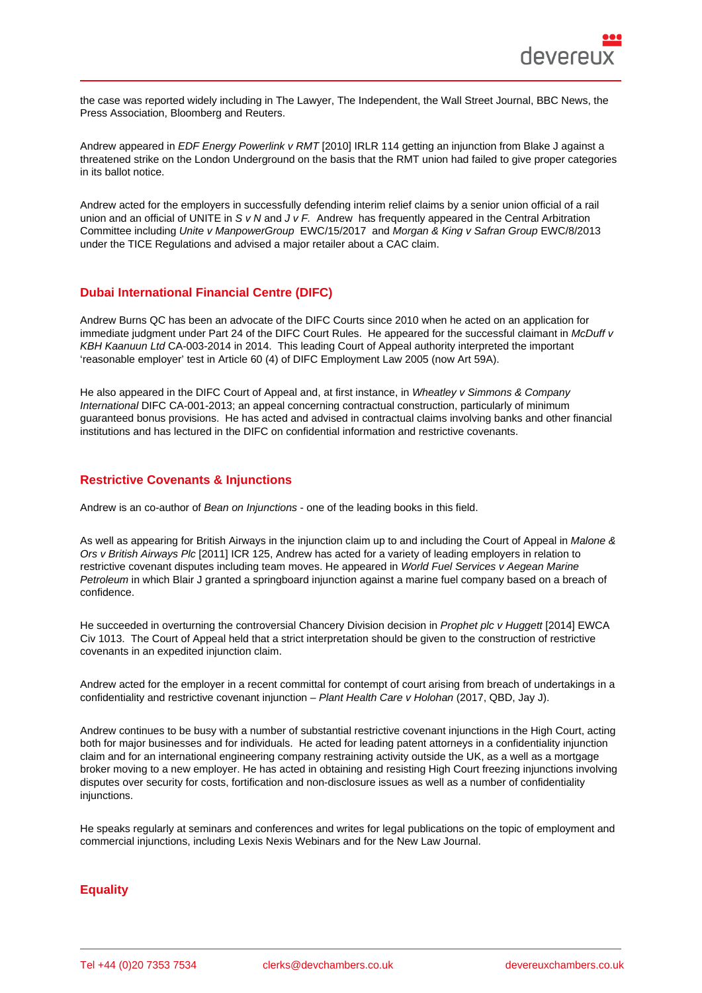the case was reported widely including in The Lawyer, The Independent, the Wall Street Journal, BBC News, the Press Association, Bloomberg and Reuters.

Andrew appeared in EDF Energy Powerlink v RMT [2010] IRLR 114 getting an injunction from Blake J against a threatened strike on the London Underground on the basis that the RMT union had failed to give proper categories in its ballot notice.

Andrew acted for the employers in successfully defending interim relief claims by a senior union official of a rail union and an official of UNITE in S v N and J v F. Andrew has frequently appeared in the Central Arbitration Committee including Unite v ManpowerGroup EWC/15/2017 and Morgan & King v Safran Group EWC/8/2013 under the TICE Regulations and advised a major retailer about a CAC claim.

### Dubai International Financial Centre (DIFC)

Andrew Burns QC has been an advocate of the DIFC Courts since 2010 when he acted on an application for immediate judgment under Part 24 of the DIFC Court Rules. He appeared for the successful claimant in McDuff v KBH Kaanuun Ltd CA-003-2014 in 2014. This leading Court of Appeal authority interpreted the important 'reasonable employer' test in Article 60 (4) of DIFC Employment Law 2005 (now Art 59A).

He also appeared in the DIFC Court of Appeal and, at first instance, in Wheatley v Simmons & Company [International DIFC CA-001-2013](http://www.devereuxchambers.co.uk/resources/news/view/dubai-court-of-appeal-decides-the-scope-of-summary-dismissal-in-the-difc); an appeal concerning contractual construction, particularly of minimum guaranteed bonus provisions. He has acted and advised in contractual claims involving banks and other financial institutions and has lectured in the DIFC on confidential information and restrictive covenants.

# Restrictive Covenants & Injunctions

Andrew is an co-author of Bean on Injunctions - one of the leading books in this field.

As well as appearing for British Airways in the injunction claim up to and including the Court of Appeal in Malone & Ors v British Airways Plc [2011] ICR 125, Andrew has acted for a variety of leading employers in relation to restrictive covenant disputes including team moves. He appeared in World Fuel Services v Aegean Marine Petroleum in which Blair J granted a springboard injunction against a marine fuel company based on a breach of confidence.

He succeeded in overturning the controversial Chancery Division decision in Prophet plc y Huggett [2014] EWCA Civ 1013. The Court of Appeal held that a strict interpretation should be given to the construction of restrictive covenants in an expedited injunction claim.

Andrew acted for the employer in a recent committal for contempt of court arising from breach of undertakings in a confidentiality and restrictive covenant injunction – Plant Health Care v Holohan (2017, QBD, Jay J).

Andrew continues to be busy with a number of substantial restrictive covenant injunctions in the High Court, acting both for major businesses and for individuals. He acted for leading patent attorneys in a confidentiality injunction claim and for an international engineering company restraining activity outside the UK, as a well as a mortgage broker moving to a new employer. He has acted in obtaining and resisting High Court freezing injunctions involving disputes over security for costs, fortification and non-disclosure issues as well as a number of confidentiality injunctions.

He speaks regularly at seminars and conferences and writes for legal publications on the topic of employment and commercial injunctions, including Lexis Nexis Webinars and for the New Law Journal.

# **Equality**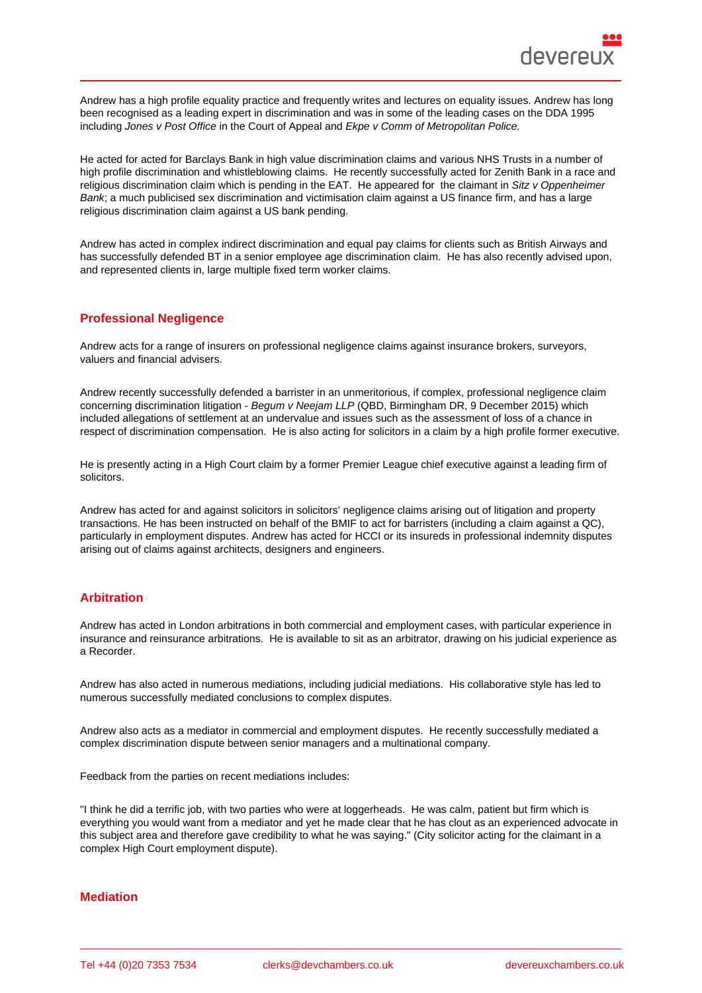Andrew has a high profile equality practice and frequently writes and lectures on equality issues. Andrew has long been recognised as a leading expert in discrimination and was in some of the leading cases on the DDA 1995 including Jones v Post Office in the Court of Appeal and Ekpe v Comm of Metropolitan Police.

He acted for acted for Barclays Bank in high value discrimination claims and various NHS Trusts in a number of high profile discrimination and whistleblowing claims. He recently successfully acted for Zenith Bank in a race and religious discrimination claim which is pending in the EAT. He appeared for the claimant in Sitz v Oppenheimer Bank; a much publicised sex discrimination and victimisation claim against a US finance firm, and has a large religious discrimination claim against a US bank pending.

Andrew has acted in complex indirect discrimination and equal pay claims for clients such as British Airways and has successfully defended BT in a senior employee age discrimination claim. He has also recently advised upon, and represented clients in, large multiple fixed term worker claims.

# Professional Negligence

Andrew acts for a range of insurers on professional negligence claims against insurance brokers, surveyors, valuers and financial advisers.

Andrew recently successfully defended a barrister in an unmeritorious, if complex, professional negligence claim concerning discrimination litigation - Begum v Neejam LLP (QBD, Birmingham DR, 9 December 2015) which included allegations of settlement at an undervalue and issues such as the assessment of loss of a chance in respect of discrimination compensation. He is also acting for solicitors in a claim by a high profile former executive.

He is presently acting in a High Court claim by a former Premier League chief executive against a leading firm of solicitors.

Andrew has acted for and against solicitors in solicitors' negligence claims arising out of litigation and property transactions. He has been instructed on behalf of the BMIF to act for barristers (including a claim against a QC), particularly in employment disputes. Andrew has acted for HCCI or its insureds in professional indemnity disputes arising out of claims against architects, designers and engineers.

### Arbitration

Andrew has acted in London arbitrations in both commercial and employment cases, with particular experience in insurance and reinsurance arbitrations. He is available to sit as an arbitrator, drawing on his judicial experience as a Recorder.

Andrew has also acted in numerous mediations, including judicial mediations. His collaborative style has led to numerous successfully mediated conclusions to complex disputes.

Andrew also acts as a mediator in commercial and employment disputes. He recently successfully mediated a complex discrimination dispute between senior managers and a multinational company.

Feedback from the parties on recent mediations includes:

"I think he did a terrific job, with two parties who were at loggerheads. He was calm, patient but firm which is everything you would want from a mediator and yet he made clear that he has clout as an experienced advocate in this subject area and therefore gave credibility to what he was saying." (City solicitor acting for the claimant in a complex High Court employment dispute).

### **Mediation**